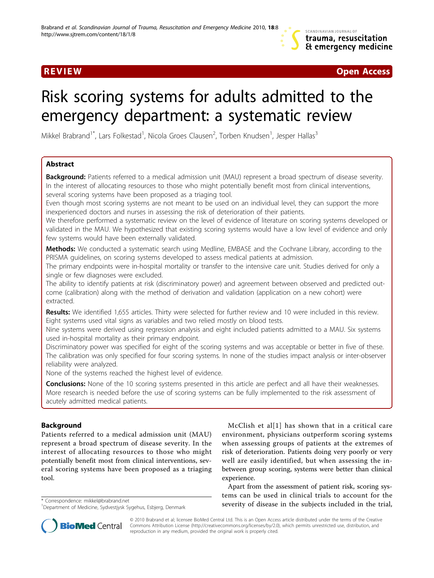**REVIEW CONSTRUCTION CONSTRUCTS** IN A REVIEW COPEN ACCESS OPEN ACCESS OF A REVIEW OPEN ACCESS OF A REVIEW OPEN A

# Risk scoring systems for adults admitted to the emergency department: a systematic review

Mikkel Brabrand<sup>1\*</sup>, Lars Folkestad<sup>1</sup>, Nicola Groes Clausen<sup>2</sup>, Torben Knudsen<sup>1</sup>, Jesper Hallas<sup>3</sup>

# Abstract

Background: Patients referred to a medical admission unit (MAU) represent a broad spectrum of disease severity. In the interest of allocating resources to those who might potentially benefit most from clinical interventions, several scoring systems have been proposed as a triaging tool.

Even though most scoring systems are not meant to be used on an individual level, they can support the more inexperienced doctors and nurses in assessing the risk of deterioration of their patients.

We therefore performed a systematic review on the level of evidence of literature on scoring systems developed or validated in the MAU. We hypothesized that existing scoring systems would have a low level of evidence and only few systems would have been externally validated.

Methods: We conducted a systematic search using Medline, EMBASE and the Cochrane Library, according to the PRISMA guidelines, on scoring systems developed to assess medical patients at admission.

The primary endpoints were in-hospital mortality or transfer to the intensive care unit. Studies derived for only a single or few diagnoses were excluded.

The ability to identify patients at risk (discriminatory power) and agreement between observed and predicted outcome (calibration) along with the method of derivation and validation (application on a new cohort) were extracted.

Results: We identified 1,655 articles. Thirty were selected for further review and 10 were included in this review. Eight systems used vital signs as variables and two relied mostly on blood tests.

Nine systems were derived using regression analysis and eight included patients admitted to a MAU. Six systems used in-hospital mortality as their primary endpoint.

Discriminatory power was specified for eight of the scoring systems and was acceptable or better in five of these. The calibration was only specified for four scoring systems. In none of the studies impact analysis or inter-observer reliability were analyzed.

None of the systems reached the highest level of evidence.

**Conclusions:** None of the 10 scoring systems presented in this article are perfect and all have their weaknesses. More research is needed before the use of scoring systems can be fully implemented to the risk assessment of acutely admitted medical patients.

# Background

Patients referred to a medical admission unit (MAU) represent a broad spectrum of disease severity. In the interest of allocating resources to those who might potentially benefit most from clinical interventions, several scoring systems have been proposed as a triaging tool.

McClish et al[[1](#page-6-0)] has shown that in a critical care environment, physicians outperform scoring systems when assessing groups of patients at the extremes of risk of deterioration. Patients doing very poorly or very well are easily identified, but when assessing the inbetween group scoring, systems were better than clinical experience.

Apart from the assessment of patient risk, scoring systems can be used in clinical trials to account for the \*Correspondence: [mikkel@brabrand.net](mailto:mikkel@brabrand.net)<br>
<sup>1</sup>Dopartment of Modicine Sydnestivek Sygobus Esbiora Dopmark<br>
<sup>1</sup>Dopartment of Modicine Sydnestivek Sygobus Esbiora Dopmark



© 2010 Brabrand et al; licensee BioMed Central Ltd. This is an Open Access article distributed under the terms of the Creative Commons Attribution License [\(http://creativecommons.org/licenses/by/2.0](http://creativecommons.org/licenses/by/2.0)), which permits unrestricted use, distribution, and reproduction in any medium, provided the original work is properly cited.

<sup>&</sup>lt;sup>1</sup>Department of Medicine, Sydvestjysk Sygehus, Esbjerg, Denmark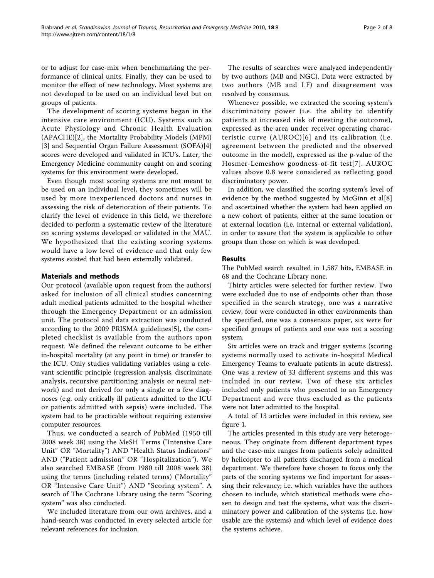or to adjust for case-mix when benchmarking the performance of clinical units. Finally, they can be used to monitor the effect of new technology. Most systems are not developed to be used on an individual level but on groups of patients.

The development of scoring systems began in the intensive care environment (ICU). Systems such as Acute Physiology and Chronic Health Evaluation (APACHE)[[2\]](#page-6-0), the Mortality Probability Models (MPM) [[3\]](#page-6-0) and Sequential Organ Failure Assessment (SOFA)[\[4](#page-7-0)] scores were developed and validated in ICU's. Later, the Emergency Medicine community caught on and scoring systems for this environment were developed.

Even though most scoring systems are not meant to be used on an individual level, they sometimes will be used by more inexperienced doctors and nurses in assessing the risk of deterioration of their patients. To clarify the level of evidence in this field, we therefore decided to perform a systematic review of the literature on scoring systems developed or validated in the MAU. We hypothesized that the existing scoring systems would have a low level of evidence and that only few systems existed that had been externally validated.

# Materials and methods

Our protocol (available upon request from the authors) asked for inclusion of all clinical studies concerning adult medical patients admitted to the hospital whether through the Emergency Department or an admission unit. The protocol and data extraction was conducted according to the 2009 PRISMA guidelines[\[5](#page-7-0)], the completed checklist is available from the authors upon request. We defined the relevant outcome to be either in-hospital mortality (at any point in time) or transfer to the ICU. Only studies validating variables using a relevant scientific principle (regression analysis, discriminate analysis, recursive partitioning analysis or neural network) and not derived for only a single or a few diagnoses (e.g. only critically ill patients admitted to the ICU or patients admitted with sepsis) were included. The system had to be practicable without requiring extensive computer resources.

Thus, we conducted a search of PubMed (1950 till 2008 week 38) using the MeSH Terms ("Intensive Care Unit" OR "Mortality") AND "Health Status Indicators" AND ("Patient admission" OR "Hospitalization"). We also searched EMBASE (from 1980 till 2008 week 38) using the terms (including related terms) ("Mortality" OR "Intensive Care Unit") AND "Scoring system". A search of The Cochrane Library using the term "Scoring system" was also conducted.

We included literature from our own archives, and a hand-search was conducted in every selected article for relevant references for inclusion.

The results of searches were analyzed independently by two authors (MB and NGC). Data were extracted by two authors (MB and LF) and disagreement was resolved by consensus.

Whenever possible, we extracted the scoring system's discriminatory power (i.e. the ability to identify patients at increased risk of meeting the outcome), expressed as the area under receiver operating characteristic curve (AUROC)[[6](#page-7-0)] and its calibration (i.e. agreement between the predicted and the observed outcome in the model), expressed as the p-value of the Hosmer-Lemeshow goodness-of-fit test[[7](#page-7-0)]. AUROC values above 0.8 were considered as reflecting good discriminatory power.

In addition, we classified the scoring system's level of evidence by the method suggested by McGinn et al[\[8](#page-7-0)] and ascertained whether the system had been applied on a new cohort of patients, either at the same location or at external location (i.e. internal or external validation), in order to assure that the system is applicable to other groups than those on which is was developed.

### Results

The PubMed search resulted in 1,587 hits, EMBASE in 68 and the Cochrane Library none.

Thirty articles were selected for further review. Two were excluded due to use of endpoints other than those specified in the search strategy, one was a narrative review, four were conducted in other environments than the specified, one was a consensus paper, six were for specified groups of patients and one was not a scoring system.

Six articles were on track and trigger systems (scoring systems normally used to activate in-hospital Medical Emergency Teams to evaluate patients in acute distress). One was a review of 33 different systems and this was included in our review. Two of these six articles included only patients who presented to an Emergency Department and were thus excluded as the patients were not later admitted to the hospital.

A total of 13 articles were included in this review, see figure [1](#page-2-0).

The articles presented in this study are very heterogeneous. They originate from different department types and the case-mix ranges from patients solely admitted by helicopter to all patients discharged from a medical department. We therefore have chosen to focus only the parts of the scoring systems we find important for assessing their relevancy; i.e. which variables have the authors chosen to include, which statistical methods were chosen to design and test the systems, what was the discriminatory power and calibration of the systems (i.e. how usable are the systems) and which level of evidence does the systems achieve.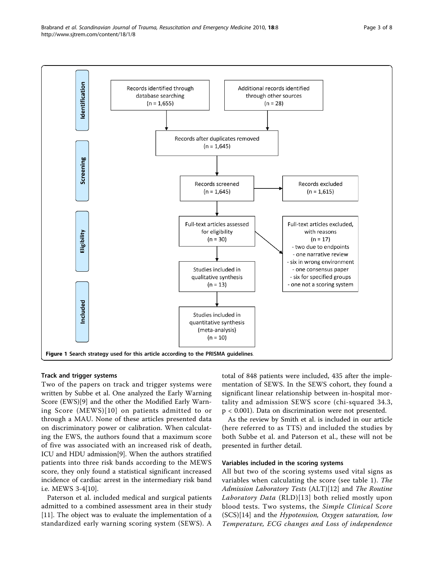<span id="page-2-0"></span>

#### Track and trigger systems

Two of the papers on track and trigger systems were written by Subbe et al. One analyzed the Early Warning Score (EWS)[\[9](#page-7-0)] and the other the Modified Early Warning Score (MEWS)[[10\]](#page-7-0) on patients admitted to or through a MAU. None of these articles presented data on discriminatory power or calibration. When calculating the EWS, the authors found that a maximum score of five was associated with an increased risk of death, ICU and HDU admission[[9\]](#page-7-0). When the authors stratified patients into three risk bands according to the MEWS score, they only found a statistical significant increased incidence of cardiac arrest in the intermediary risk band i.e. MEWS 3-4[\[10\]](#page-7-0).

Paterson et al. included medical and surgical patients admitted to a combined assessment area in their study [[11\]](#page-7-0). The object was to evaluate the implementation of a standardized early warning scoring system (SEWS). A total of 848 patients were included, 435 after the implementation of SEWS. In the SEWS cohort, they found a significant linear relationship between in-hospital mortality and admission SEWS score (chi-squared 34.3, p < 0.001). Data on discrimination were not presented.

As the review by Smith et al. is included in our article (here referred to as TTS) and included the studies by both Subbe et al. and Paterson et al., these will not be presented in further detail.

# Variables included in the scoring systems

All but two of the scoring systems used vital signs as variables when calculating the score (see table [1](#page-3-0)). The Admission Laboratory Tests (ALT)[[12\]](#page-7-0) and The Routine Laboratory Data (RLD)[[13\]](#page-7-0) both relied mostly upon blood tests. Two systems, the Simple Clinical Score (SCS)[[14\]](#page-7-0) and the Hypotension, Oxygen saturation, low Temperature, ECG changes and Loss of independence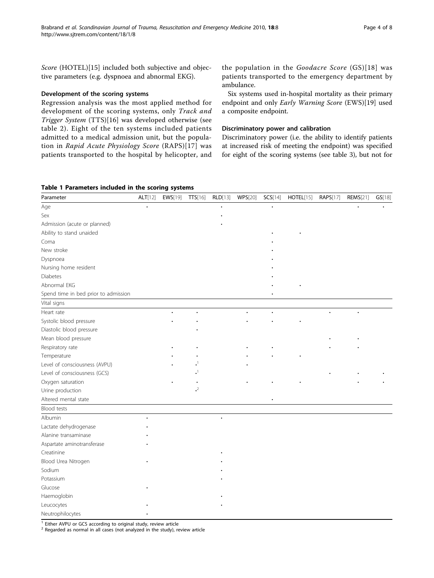<span id="page-3-0"></span>Score (HOTEL)[\[15](#page-7-0)] included both subjective and objective parameters (e.g. dyspnoea and abnormal EKG).

#### Development of the scoring systems

Regression analysis was the most applied method for development of the scoring systems, only Track and Trigger System (TTS)[[16\]](#page-7-0) was developed otherwise (see table [2\)](#page-4-0). Eight of the ten systems included patients admitted to a medical admission unit, but the population in Rapid Acute Physiology Score (RAPS)[[17\]](#page-7-0) was patients transported to the hospital by helicopter, and

the population in the Goodacre Score (GS)[[18](#page-7-0)] was patients transported to the emergency department by ambulance.

Six systems used in-hospital mortality as their primary endpoint and only Early Warning Score (EWS)[\[19](#page-7-0)] used a composite endpoint.

# Discriminatory power and calibration

Discriminatory power (i.e. the ability to identify patients at increased risk of meeting the endpoint) was specified for eight of the scoring systems (see table [3\)](#page-5-0), but not for

### Table 1 Parameters included in the scoring systems

| Parameter                            | <b>ALT[12]</b> | <b>EWS[19]</b> | TTS[16]   | <b>RLD[13]</b>       | <b>WPS[20]</b> | <b>SCS[14]</b> | HOTEL[15] | <b>RAPS[17]</b> | <b>REMS[21]</b> | GS[18] |
|--------------------------------------|----------------|----------------|-----------|----------------------|----------------|----------------|-----------|-----------------|-----------------|--------|
| Age                                  |                |                |           |                      |                |                |           |                 |                 |        |
| Sex                                  |                |                |           |                      |                |                |           |                 |                 |        |
| Admission (acute or planned)         |                |                |           |                      |                |                |           |                 |                 |        |
| Ability to stand unaided             |                |                |           |                      |                |                |           |                 |                 |        |
| Coma                                 |                |                |           |                      |                |                |           |                 |                 |        |
| New stroke                           |                |                |           |                      |                |                |           |                 |                 |        |
| Dyspnoea                             |                |                |           |                      |                |                |           |                 |                 |        |
| Nursing home resident                |                |                |           |                      |                |                |           |                 |                 |        |
| <b>Diabetes</b>                      |                |                |           |                      |                |                |           |                 |                 |        |
| Abnormal EKG                         |                |                |           |                      |                |                |           |                 |                 |        |
| Spend time in bed prior to admission |                |                |           |                      |                |                |           |                 |                 |        |
| Vital signs                          |                |                |           |                      |                |                |           |                 |                 |        |
| Heart rate                           |                |                |           |                      |                |                |           |                 |                 |        |
| Systolic blood pressure              |                |                |           |                      |                |                |           |                 |                 |        |
| Diastolic blood pressure             |                |                |           |                      |                |                |           |                 |                 |        |
| Mean blood pressure                  |                |                |           |                      |                |                |           |                 |                 |        |
| Respiratory rate                     |                |                |           |                      |                |                |           |                 |                 |        |
| Temperature                          |                |                |           |                      |                |                |           |                 |                 |        |
| Level of consciousness (AVPU)        |                |                |           |                      |                |                |           |                 |                 |        |
| Level of consciousness (GCS)         |                |                |           |                      |                |                |           |                 |                 |        |
| Oxygen saturation                    |                |                |           |                      |                |                |           |                 |                 |        |
| Urine production                     |                |                | $\cdot^2$ |                      |                |                |           |                 |                 |        |
| Altered mental state                 |                |                |           |                      |                |                |           |                 |                 |        |
| Blood tests                          |                |                |           |                      |                |                |           |                 |                 |        |
| Albumin                              |                |                |           | $\ddot{\phantom{0}}$ |                |                |           |                 |                 |        |
| Lactate dehydrogenase                |                |                |           |                      |                |                |           |                 |                 |        |
| Alanine transaminase                 |                |                |           |                      |                |                |           |                 |                 |        |
| Aspartate aminotransferase           |                |                |           |                      |                |                |           |                 |                 |        |
| Creatinine                           |                |                |           |                      |                |                |           |                 |                 |        |
| Blood Urea Nitrogen                  |                |                |           |                      |                |                |           |                 |                 |        |
| Sodium                               |                |                |           |                      |                |                |           |                 |                 |        |
| Potassium                            |                |                |           |                      |                |                |           |                 |                 |        |
| Glucose                              |                |                |           |                      |                |                |           |                 |                 |        |
| Haemoglobin                          |                |                |           |                      |                |                |           |                 |                 |        |
| Leucocytes                           |                |                |           |                      |                |                |           |                 |                 |        |
| Neutrophilocytes                     |                |                |           |                      |                |                |           |                 |                 |        |

<sup>1</sup> Either AVPU or GCS according to original study, review article

 $2$  Regarded as normal in all cases (not analyzed in the study), review article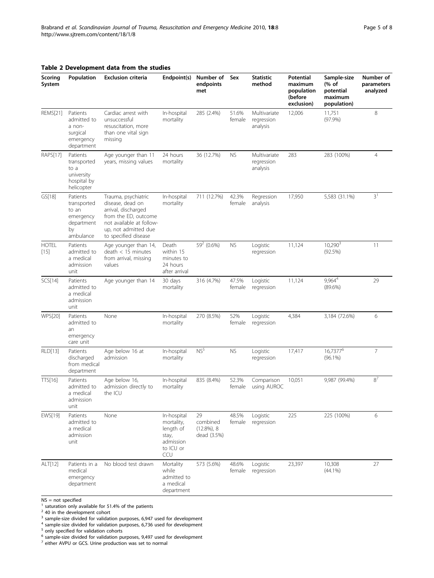### <span id="page-4-0"></span>Table 2 Development data from the studies

| Scoring<br>System      | Population                                                                     | <b>Exclusion criteria</b>                                                                                                                                          | Endpoint(s)                                                                      | Number of<br>endpoints<br>met                   | Sex             | <b>Statistic</b><br>method             | Potential<br>maximum<br>population<br>(before<br>exclusion) | Sample-size<br>(% of<br>potential<br>maximum<br>population) | Number of<br>parameters<br>analyzed |
|------------------------|--------------------------------------------------------------------------------|--------------------------------------------------------------------------------------------------------------------------------------------------------------------|----------------------------------------------------------------------------------|-------------------------------------------------|-----------------|----------------------------------------|-------------------------------------------------------------|-------------------------------------------------------------|-------------------------------------|
| <b>REMS[21]</b>        | Patients<br>admitted to<br>a non-<br>surgical<br>emergency<br>department       | Cardiac arrest with<br>unsuccessful<br>resuscitation, more<br>than one vital sign<br>missing                                                                       | In-hospital<br>mortality                                                         | 285 (2.4%)                                      | 51.6%<br>female | Multivariate<br>regression<br>analysis | 12,006                                                      | 11,751<br>(97.9%)                                           | 8                                   |
| RAPS[17]               | Patients<br>transported<br>to a<br>university<br>hospital by<br>helicopter     | Age younger than 11<br>years, missing values                                                                                                                       | 24 hours<br>mortality                                                            | 36 (12.7%)                                      | <b>NS</b>       | Multivariate<br>regression<br>analysis | 283                                                         | 283 (100%)                                                  | $\overline{4}$                      |
| GS[18]                 | Patients<br>transported<br>to an<br>emergency<br>department<br>by<br>ambulance | Trauma, psychiatric<br>disease, dead on<br>arrival, discharged<br>from the ED, outcome<br>not available at follow-<br>up, not admitted due<br>to specified disease | In-hospital<br>mortality                                                         | 711 (12.7%)                                     | 42.3%<br>female | Regression<br>analysis                 | 17,950                                                      | 5,583 (31.1%)                                               | 3 <sup>1</sup>                      |
| <b>HOTEL</b><br>$[15]$ | Patients<br>admitted to<br>a medical<br>admission<br>unit                      | Age younger than 14,<br>$death < 15$ minutes<br>from arrival, missing<br>values                                                                                    | Death<br>within 15<br>minutes to<br>24 hours<br>after arrival                    | $\overline{59^2}$ (0.6%)                        | <b>NS</b>       | Logistic<br>regression                 | 11,124                                                      | $10,290^3$<br>(92.5%)                                       | 11                                  |
| SCS[14]                | Patients<br>admitted to<br>a medical<br>admission<br>unit                      | Age younger than 14                                                                                                                                                | 30 days<br>mortality                                                             | 316 (4.7%)                                      | 47.5%<br>female | Logistic<br>regression                 | 11.124                                                      | 9,964 <sup>4</sup><br>$(89.6\%)$                            | 29                                  |
| <b>WPS[20]</b>         | Patients<br>admitted to<br>an<br>emergency<br>care unit                        | None                                                                                                                                                               | In-hospital<br>mortality                                                         | 270 (8.5%)                                      | 52%<br>female   | Logistic<br>regression                 | 4,384                                                       | 3,184 (72.6%)                                               | 6                                   |
| <b>RLD[13]</b>         | Patients<br>discharged<br>from medical<br>department                           | Age below 16 at<br>admission                                                                                                                                       | In-hospital<br>mortality                                                         | NS <sup>5</sup>                                 | NS.             | Logistic<br>regression                 | 17,417                                                      | 16,7377 <sup>6</sup><br>$(96.1\%)$                          | $\overline{7}$                      |
| TTS[16]                | Patients<br>admitted to<br>a medical<br>admission<br>unit                      | Age below 16,<br>admission directly to<br>the ICU                                                                                                                  | In-hospital<br>mortality                                                         | 835 (8.4%)                                      | 52.3%<br>female | Comparison<br>using AUROC              | 10,051                                                      | 9,987 (99.4%)                                               | $8^7$                               |
| EWS[19]                | Patients<br>admitted to<br>a medical<br>admission<br>unit                      | None                                                                                                                                                               | In-hospital<br>mortality,<br>length of<br>stay,<br>admission<br>to ICU or<br>CCU | 29<br>combined<br>$(12.8\%)$ , 8<br>dead (3.5%) | 48.5%<br>female | Logistic<br>regression                 | 225                                                         | 225 (100%)                                                  | 6                                   |
| ALT[12]                | Patients in a<br>medical<br>emergency<br>department                            | No blood test drawn                                                                                                                                                | Mortality<br>while<br>admitted to<br>a medical<br>department                     | 573 (5.6%)                                      | 48.6%<br>female | Logistic<br>regression                 | 23,397                                                      | 10,308<br>$(44.1\%)$                                        | 27                                  |

NS = not specified

<sup>1</sup> saturation only available for 51.4% of the patients

 $240$  in the development cohort

 $3$  sample-size divided for validation purposes, 6,947 used for development <sup>4</sup> sample-size divided for validation purposes, 6,736 used for development

<sup>5</sup> only specified for validation cohorts

<sup>6</sup> sample-size divided for validation purposes, 9,497 used for development

<sup>7</sup> either AVPU or GCS. Urine production was set to normal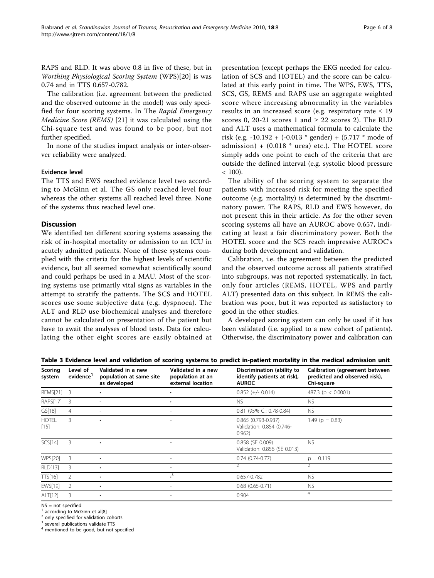<span id="page-5-0"></span>RAPS and RLD. It was above 0.8 in five of these, but in Worthing Physiological Scoring System (WPS)[\[20](#page-7-0)] is was 0.74 and in TTS 0.657-0.782.

The calibration (i.e. agreement between the predicted and the observed outcome in the model) was only specified for four scoring systems. In The Rapid Emergency Medicine Score (REMS) [[21\]](#page-7-0) it was calculated using the Chi-square test and was found to be poor, but not further specified.

In none of the studies impact analysis or inter-observer reliability were analyzed.

#### Evidence level

The TTS and EWS reached evidence level two according to McGinn et al. The GS only reached level four whereas the other systems all reached level three. None of the systems thus reached level one.

#### **Discussion**

We identified ten different scoring systems assessing the risk of in-hospital mortality or admission to an ICU in acutely admitted patients. None of these systems complied with the criteria for the highest levels of scientific evidence, but all seemed somewhat scientifically sound and could perhaps be used in a MAU. Most of the scoring systems use primarily vital signs as variables in the attempt to stratify the patients. The SCS and HOTEL scores use some subjective data (e.g. dyspnoea). The ALT and RLD use biochemical analyses and therefore cannot be calculated on presentation of the patient but have to await the analyses of blood tests. Data for calculating the other eight scores are easily obtained at

presentation (except perhaps the EKG needed for calculation of SCS and HOTEL) and the score can be calculated at this early point in time. The WPS, EWS, TTS, SCS, GS, REMS and RAPS use an aggregate weighted score where increasing abnormality in the variables results in an increased score (e.g. respiratory rate  $\leq 19$ scores 0, 20-21 scores 1 and  $\geq$  22 scores 2). The RLD and ALT uses a mathematical formula to calculate the risk (e.g. -10.192 + (-0.013 \* gender) + (5.717 \* mode of admission) + (0.018 \* urea) etc.). The HOTEL score simply adds one point to each of the criteria that are outside the defined interval (e.g. systolic blood pressure  $< 100$ ).

The ability of the scoring system to separate the patients with increased risk for meeting the specified outcome (e.g. mortality) is determined by the discriminatory power. The RAPS, RLD and EWS however, do not present this in their article. As for the other seven scoring systems all have an AUROC above 0.657, indicating at least a fair discriminatory power. Both the HOTEL score and the SCS reach impressive AUROC's during both development and validation.

Calibration, i.e. the agreement between the predicted and the observed outcome across all patients stratified into subgroups, was not reported systematically. In fact, only four articles (REMS, HOTEL, WPS and partly ALT) presented data on this subject. In REMS the calibration was poor, but it was reported as satisfactory to good in the other studies.

A developed scoring system can only be used if it has been validated (i.e. applied to a new cohort of patients). Otherwise, the discriminatory power and calibration can

| <b>Scoring</b><br>system | Level of<br>evidence <sup>1</sup> | Validated in a new<br>population at same site<br>as developed | Validated in a new<br>population at an<br>external location | Discrimination (ability to<br>identify patients at risk),<br><b>AUROC</b> | <b>Calibration (agreement between)</b><br>predicted and observed risk),<br>Chi-square |
|--------------------------|-----------------------------------|---------------------------------------------------------------|-------------------------------------------------------------|---------------------------------------------------------------------------|---------------------------------------------------------------------------------------|
| <b>REMS[21]</b>          | 3                                 | ٠                                                             | ٠                                                           | $0.852 (+/- 0.014)$                                                       | 487.3 ( $p < 0.0001$ )                                                                |
| RAPS[17]                 | 3                                 |                                                               |                                                             | <b>NS</b>                                                                 | <b>NS</b>                                                                             |
| GS[18]                   | 4                                 |                                                               | $\overline{\phantom{a}}$                                    | 0.81 (95% CI: 0.78-0.84)                                                  | <b>NS</b>                                                                             |
| <b>HOTEL</b><br>$[15]$   | 3                                 | ٠                                                             |                                                             | 0.865 (0.793-0.937)<br>Validation: 0.854 (0.746-<br>0.962)                | 1.49 ( $p = 0.83$ )                                                                   |
| SCS[14]                  | 3                                 | ٠                                                             |                                                             | 0.858 (SE 0.009)<br>Validation: 0.856 (SE 0.013)                          | <b>NS</b>                                                                             |
| WPS[20]                  | 3                                 | $\bullet$                                                     |                                                             | $0.74(0.74-0.77)$                                                         | $p = 0.119$                                                                           |
| <b>RLD[13]</b>           | 3                                 | $\bullet$                                                     |                                                             | $\mathcal{P}$                                                             | $\mathcal{D}$                                                                         |
| <b>TTS[16]</b>           | $\mathcal{P}$                     | $\bullet$                                                     | $^{3}$                                                      | 0.657-0.782                                                               | NS.                                                                                   |
| EWS[19]                  | 2                                 | $\bullet$                                                     |                                                             | $0.68$ $(0.65 - 0.71)$                                                    | <b>NS</b>                                                                             |
| ALT[12]                  | 3                                 | $\bullet$                                                     |                                                             | 0.904                                                                     | $\overline{4}$                                                                        |

Table 3 Evidence level and validation of scoring systems to predict in-patient mortality in the medical admission unit

NS = not specified

according to McGinn et al[\[8\]](#page-7-0)

<sup>2</sup> only specified for validation cohorts

several publications validate TTS

<sup>4</sup> mentioned to be good, but not specified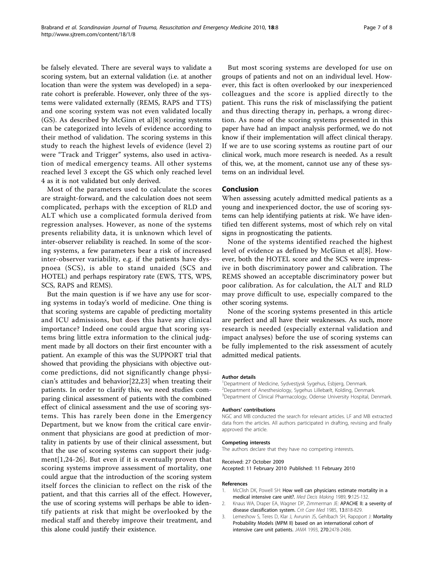<span id="page-6-0"></span>be falsely elevated. There are several ways to validate a scoring system, but an external validation (i.e. at another location than were the system was developed) in a separate cohort is preferable. However, only three of the systems were validated externally (REMS, RAPS and TTS) and one scoring system was not even validated locally (GS). As described by McGinn et al[[8\]](#page-7-0) scoring systems can be categorized into levels of evidence according to their method of validation. The scoring systems in this study to reach the highest levels of evidence (level 2) were "Track and Trigger" systems, also used in activation of medical emergency teams. All other systems reached level 3 except the GS which only reached level 4 as it is not validated but only derived.

Most of the parameters used to calculate the scores are straight-forward, and the calculation does not seem complicated, perhaps with the exception of RLD and ALT which use a complicated formula derived from regression analyses. However, as none of the systems presents reliability data, it is unknown which level of inter-observer reliability is reached. In some of the scoring systems, a few parameters bear a risk of increased inter-observer variability, e.g. if the patients have dyspnoea (SCS), is able to stand unaided (SCS and HOTEL) and perhaps respiratory rate (EWS, TTS, WPS, SCS, RAPS and REMS).

But the main question is if we have any use for scoring systems in today's world of medicine. One thing is that scoring systems are capable of predicting mortality and ICU admissions, but does this have any clinical importance? Indeed one could argue that scoring systems bring little extra information to the clinical judgment made by all doctors on their first encounter with a patient. An example of this was the SUPPORT trial that showed that providing the physicians with objective outcome predictions, did not significantly change physician's attitudes and behavior[[22,23\]](#page-7-0) when treating their patients. In order to clarify this, we need studies comparing clinical assessment of patients with the combined effect of clinical assessment and the use of scoring systems. This has rarely been done in the Emergency Department, but we know from the critical care environment that physicians are good at prediction of mortality in patients by use of their clinical assessment, but that the use of scoring systems can support their judgment[1,[24-26\]](#page-7-0). But even if it is eventually proven that scoring systems improve assessment of mortality, one could argue that the introduction of the scoring system itself forces the clinician to reflect on the risk of the patient, and that this carries all of the effect. However, the use of scoring systems will perhaps be able to identify patients at risk that might be overlooked by the medical staff and thereby improve their treatment, and this alone could justify their existence.

But most scoring systems are developed for use on groups of patients and not on an individual level. However, this fact is often overlooked by our inexperienced colleagues and the score is applied directly to the patient. This runs the risk of misclassifying the patient and thus directing therapy in, perhaps, a wrong direction. As none of the scoring systems presented in this paper have had an impact analysis performed, we do not know if their implementation will affect clinical therapy. If we are to use scoring systems as routine part of our clinical work, much more research is needed. As a result of this, we, at the moment, cannot use any of these systems on an individual level.

#### Conclusion

When assessing acutely admitted medical patients as a young and inexperienced doctor, the use of scoring systems can help identifying patients at risk. We have identified ten different systems, most of which rely on vital signs in prognosticating the patients.

None of the systems identified reached the highest level of evidence as defined by McGinn et al[[8\]](#page-7-0). However, both the HOTEL score and the SCS were impressive in both discriminatory power and calibration. The REMS showed an acceptable discriminatory power but poor calibration. As for calculation, the ALT and RLD may prove difficult to use, especially compared to the other scoring systems.

None of the scoring systems presented in this article are perfect and all have their weaknesses. As such, more research is needed (especially external validation and impact analyses) before the use of scoring systems can be fully implemented to the risk assessment of acutely admitted medical patients.

#### Author details

<sup>1</sup>Department of Medicine, Sydvestjysk Sygehus, Esbjerg, Denmark 2 Department of Anesthesiology, Sygehus Lillebælt, Kolding, Denmark. <sup>3</sup>Department of Clinical Pharmacology, Odense University Hospital, Denmark

#### Authors' contributions

NGC and MB conducted the search for relevant articles. LF and MB extracted data from the articles. All authors participated in drafting, revising and finally approved the article.

#### Competing interests

The authors declare that they have no competing interests.

#### Received: 27 October 2009 Accepted: 11 February 2010 Published: 11 February 2010

#### References

- McClish DK, Powell SH: [How well can physicians estimate mortality in a](http://www.ncbi.nlm.nih.gov/pubmed/2747449?dopt=Abstract) [medical intensive care unit?.](http://www.ncbi.nlm.nih.gov/pubmed/2747449?dopt=Abstract) Med Decis Making 1989, 9:125-132.
- 2. Knaus WA, Draper EA, Wagner DP, Zimmerman JE: [APACHE II: a severity of](http://www.ncbi.nlm.nih.gov/pubmed/3928249?dopt=Abstract) [disease classification system.](http://www.ncbi.nlm.nih.gov/pubmed/3928249?dopt=Abstract) Crit Care Med 1985, 13:818-829.
- 3. Lemeshow S, Teres D, Klar J, Avrunin JS, Gehlbach SH, Rapoport J: [Mortality](http://www.ncbi.nlm.nih.gov/pubmed/8230626?dopt=Abstract) [Probability Models \(MPM II\) based on an international cohort of](http://www.ncbi.nlm.nih.gov/pubmed/8230626?dopt=Abstract) [intensive care unit patients.](http://www.ncbi.nlm.nih.gov/pubmed/8230626?dopt=Abstract) JAMA 1993, 270:2478-2486.